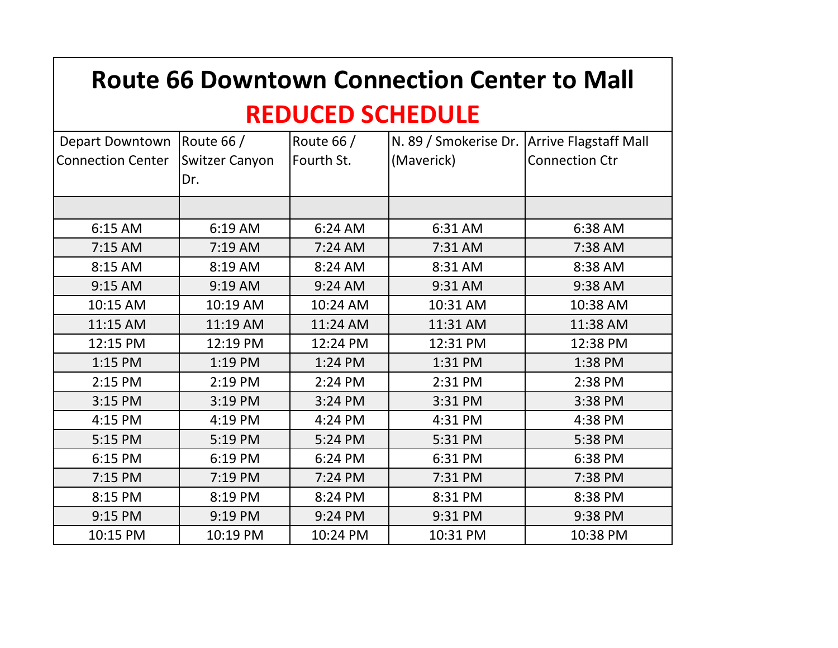| <b>Route 66 Downtown Connection Center to Mall</b> |                       |            |                       |                              |  |  |  |
|----------------------------------------------------|-----------------------|------------|-----------------------|------------------------------|--|--|--|
| <b>REDUCED SCHEDULE</b>                            |                       |            |                       |                              |  |  |  |
| Depart Downtown                                    | Route 66 /            | Route 66 / | N. 89 / Smokerise Dr. | <b>Arrive Flagstaff Mall</b> |  |  |  |
| <b>Connection Center</b>                           | <b>Switzer Canyon</b> | Fourth St. | (Maverick)            | <b>Connection Ctr</b>        |  |  |  |
|                                                    | Dr.                   |            |                       |                              |  |  |  |
|                                                    |                       |            |                       |                              |  |  |  |
| 6:15 AM                                            | 6:19 AM               | 6:24 AM    | 6:31 AM               | 6:38 AM                      |  |  |  |
| $7:15$ AM                                          | $7:19$ AM             | $7:24$ AM  | 7:31 AM               | 7:38 AM                      |  |  |  |
| 8:15 AM                                            | 8:19 AM               | 8:24 AM    | 8:31 AM               | 8:38 AM                      |  |  |  |
| 9:15 AM                                            | 9:19 AM               | 9:24 AM    | 9:31 AM               | 9:38 AM                      |  |  |  |
| 10:15 AM                                           | 10:19 AM              | 10:24 AM   | 10:31 AM              | 10:38 AM                     |  |  |  |
| 11:15 AM                                           | 11:19 AM              | 11:24 AM   | 11:31 AM              | 11:38 AM                     |  |  |  |
| 12:15 PM                                           | 12:19 PM              | 12:24 PM   | 12:31 PM              | 12:38 PM                     |  |  |  |
| 1:15 PM                                            | 1:19 PM               | 1:24 PM    | 1:31 PM               | 1:38 PM                      |  |  |  |
| 2:15 PM                                            | 2:19 PM               | 2:24 PM    | 2:31 PM               | 2:38 PM                      |  |  |  |
| 3:15 PM                                            | 3:19 PM               | 3:24 PM    | 3:31 PM               | 3:38 PM                      |  |  |  |
| 4:15 PM                                            | 4:19 PM               | 4:24 PM    | 4:31 PM               | 4:38 PM                      |  |  |  |
| 5:15 PM                                            | 5:19 PM               | 5:24 PM    | 5:31 PM               | 5:38 PM                      |  |  |  |
| 6:15 PM                                            | 6:19 PM               | 6:24 PM    | 6:31 PM               | 6:38 PM                      |  |  |  |
| 7:15 PM                                            | 7:19 PM               | 7:24 PM    | 7:31 PM               | 7:38 PM                      |  |  |  |
| 8:15 PM                                            | 8:19 PM               | 8:24 PM    | 8:31 PM               | 8:38 PM                      |  |  |  |
| 9:15 PM                                            | 9:19 PM               | 9:24 PM    | 9:31 PM               | 9:38 PM                      |  |  |  |
| 10:15 PM                                           | 10:19 PM              | 10:24 PM   | 10:31 PM              | 10:38 PM                     |  |  |  |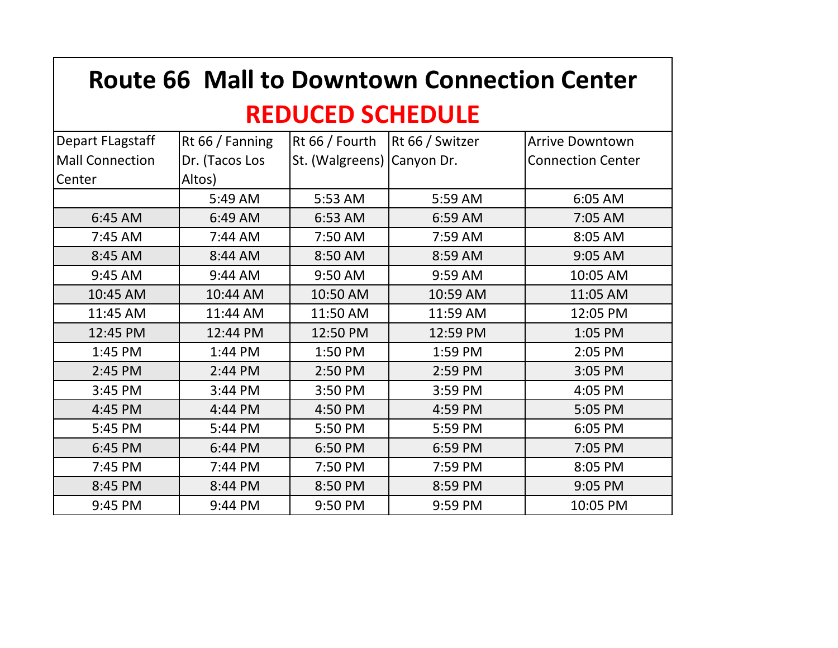| <b>Route 66 Mall to Downtown Connection Center</b> |                 |                            |                 |                          |  |  |  |
|----------------------------------------------------|-----------------|----------------------------|-----------------|--------------------------|--|--|--|
| <b>REDUCED SCHEDULE</b>                            |                 |                            |                 |                          |  |  |  |
| Depart FLagstaff                                   | Rt 66 / Fanning | Rt 66 / Fourth             | Rt 66 / Switzer | <b>Arrive Downtown</b>   |  |  |  |
| <b>Mall Connection</b>                             | Dr. (Tacos Los  | St. (Walgreens) Canyon Dr. |                 | <b>Connection Center</b> |  |  |  |
| Center                                             | Altos)          |                            |                 |                          |  |  |  |
|                                                    | 5:49 AM         | 5:53 AM                    | 5:59 AM         | 6:05 AM                  |  |  |  |
| 6:45 AM                                            | 6:49 AM         | 6:53 AM                    | 6:59 AM         | 7:05 AM                  |  |  |  |
| 7:45 AM                                            | 7:44 AM         | 7:50 AM                    | 7:59 AM         | 8:05 AM                  |  |  |  |
| 8:45 AM                                            | 8:44 AM         | 8:50 AM                    | 8:59 AM         | 9:05 AM                  |  |  |  |
| 9:45 AM                                            | 9:44 AM         | 9:50 AM                    | 9:59 AM         | 10:05 AM                 |  |  |  |
| 10:45 AM                                           | 10:44 AM        | 10:50 AM                   | 10:59 AM        | 11:05 AM                 |  |  |  |
| 11:45 AM                                           | 11:44 AM        | 11:50 AM                   | 11:59 AM        | 12:05 PM                 |  |  |  |
| 12:45 PM                                           | 12:44 PM        | 12:50 PM                   | 12:59 PM        | 1:05 PM                  |  |  |  |
| 1:45 PM                                            | 1:44 PM         | 1:50 PM                    | 1:59 PM         | 2:05 PM                  |  |  |  |
| 2:45 PM                                            | 2:44 PM         | 2:50 PM                    | 2:59 PM         | 3:05 PM                  |  |  |  |
| 3:45 PM                                            | 3:44 PM         | 3:50 PM                    | 3:59 PM         | 4:05 PM                  |  |  |  |
| 4:45 PM                                            | 4:44 PM         | 4:50 PM                    | 4:59 PM         | 5:05 PM                  |  |  |  |
| 5:45 PM                                            | 5:44 PM         | 5:50 PM                    | 5:59 PM         | 6:05 PM                  |  |  |  |
| 6:45 PM                                            | 6:44 PM         | 6:50 PM                    | 6:59 PM         | 7:05 PM                  |  |  |  |
| 7:45 PM                                            | 7:44 PM         | 7:50 PM                    | 7:59 PM         | 8:05 PM                  |  |  |  |
| 8:45 PM                                            | 8:44 PM         | 8:50 PM                    | 8:59 PM         | 9:05 PM                  |  |  |  |
| 9:45 PM                                            | 9:44 PM         | 9:50 PM                    | 9:59 PM         | 10:05 PM                 |  |  |  |